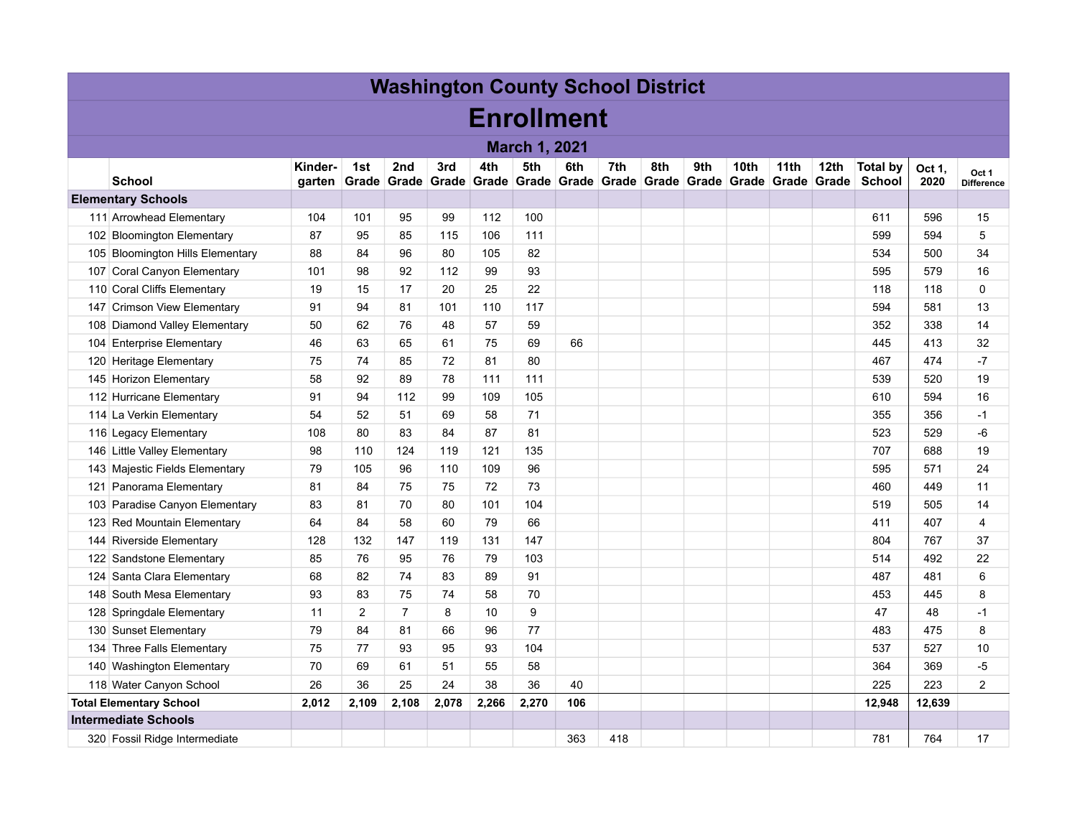| <b>Washington County School District</b> |                                  |                   |                  |                          |       |       |       |                          |                    |     |     |                           |                  |                           |                                  |                |                            |
|------------------------------------------|----------------------------------|-------------------|------------------|--------------------------|-------|-------|-------|--------------------------|--------------------|-----|-----|---------------------------|------------------|---------------------------|----------------------------------|----------------|----------------------------|
| <b>Enrollment</b>                        |                                  |                   |                  |                          |       |       |       |                          |                    |     |     |                           |                  |                           |                                  |                |                            |
| <b>March 1, 2021</b>                     |                                  |                   |                  |                          |       |       |       |                          |                    |     |     |                           |                  |                           |                                  |                |                            |
|                                          | <b>School</b>                    | Kinder-<br>garten | 1st              | 2nd<br>Grade Grade Grade | 3rd   | 4th   | 5th   | 6th<br>Grade Grade Grade | 7th<br>Grade Grade | 8th | 9th | 10th<br>Grade Grade Grade | 11 <sub>th</sub> | 12 <sub>th</sub><br>Grade | <b>Total by</b><br><b>School</b> | Oct 1.<br>2020 | Oct 1<br><b>Difference</b> |
| <b>Elementary Schools</b>                |                                  |                   |                  |                          |       |       |       |                          |                    |     |     |                           |                  |                           |                                  |                |                            |
|                                          | 111 Arrowhead Elementary         | 104               | 101              | 95                       | 99    | 112   | 100   |                          |                    |     |     |                           |                  |                           | 611                              | 596            | 15                         |
|                                          | 102 Bloomington Elementary       | 87                | 95               | 85                       | 115   | 106   | 111   |                          |                    |     |     |                           |                  |                           | 599                              | 594            | 5                          |
|                                          | 105 Bloomington Hills Elementary | 88                | 84               | 96                       | 80    | 105   | 82    |                          |                    |     |     |                           |                  |                           | 534                              | 500            | 34                         |
|                                          | 107 Coral Canyon Elementary      | 101               | 98               | 92                       | 112   | 99    | 93    |                          |                    |     |     |                           |                  |                           | 595                              | 579            | 16                         |
|                                          | 110 Coral Cliffs Elementary      | 19                | 15               | 17                       | 20    | 25    | 22    |                          |                    |     |     |                           |                  |                           | 118                              | 118            | $\Omega$                   |
|                                          | 147 Crimson View Elementary      | 91                | 94               | 81                       | 101   | 110   | 117   |                          |                    |     |     |                           |                  |                           | 594                              | 581            | 13                         |
|                                          | 108 Diamond Valley Elementary    | 50                | 62               | 76                       | 48    | 57    | 59    |                          |                    |     |     |                           |                  |                           | 352                              | 338            | 14                         |
|                                          | 104 Enterprise Elementary        | 46                | 63               | 65                       | 61    | 75    | 69    | 66                       |                    |     |     |                           |                  |                           | 445                              | 413            | 32                         |
|                                          | 120 Heritage Elementary          | 75                | 74               | 85                       | 72    | 81    | 80    |                          |                    |     |     |                           |                  |                           | 467                              | 474            | $-7$                       |
|                                          | 145 Horizon Elementary           | 58                | 92               | 89                       | 78    | 111   | 111   |                          |                    |     |     |                           |                  |                           | 539                              | 520            | 19                         |
|                                          | 112 Hurricane Elementary         | 91                | 94               | 112                      | 99    | 109   | 105   |                          |                    |     |     |                           |                  |                           | 610                              | 594            | 16                         |
|                                          | 114 La Verkin Elementary         | 54                | 52               | 51                       | 69    | 58    | 71    |                          |                    |     |     |                           |                  |                           | 355                              | 356            | -1                         |
|                                          | 116 Legacy Elementary            | 108               | 80               | 83                       | 84    | 87    | 81    |                          |                    |     |     |                           |                  |                           | 523                              | 529            | -6                         |
|                                          | 146 Little Valley Elementary     | 98                | 110              | 124                      | 119   | 121   | 135   |                          |                    |     |     |                           |                  |                           | 707                              | 688            | 19                         |
|                                          | 143 Majestic Fields Elementary   | 79                | 105              | 96                       | 110   | 109   | 96    |                          |                    |     |     |                           |                  |                           | 595                              | 571            | 24                         |
|                                          | 121 Panorama Elementary          | 81                | 84               | 75                       | 75    | 72    | 73    |                          |                    |     |     |                           |                  |                           | 460                              | 449            | 11                         |
|                                          | 103 Paradise Canyon Elementary   | 83                | 81               | 70                       | 80    | 101   | 104   |                          |                    |     |     |                           |                  |                           | 519                              | 505            | 14                         |
|                                          | 123 Red Mountain Elementary      | 64                | 84               | 58                       | 60    | 79    | 66    |                          |                    |     |     |                           |                  |                           | 411                              | 407            | $\overline{4}$             |
|                                          | 144 Riverside Elementary         | 128               | 132              | 147                      | 119   | 131   | 147   |                          |                    |     |     |                           |                  |                           | 804                              | 767            | 37                         |
|                                          | 122 Sandstone Elementary         | 85                | 76               | 95                       | 76    | 79    | 103   |                          |                    |     |     |                           |                  |                           | 514                              | 492            | 22                         |
|                                          | 124 Santa Clara Elementary       | 68                | 82               | 74                       | 83    | 89    | 91    |                          |                    |     |     |                           |                  |                           | 487                              | 481            | 6                          |
|                                          | 148 South Mesa Elementary        | 93                | 83               | 75                       | 74    | 58    | 70    |                          |                    |     |     |                           |                  |                           | 453                              | 445            | 8                          |
|                                          | 128 Springdale Elementary        | 11                | $\boldsymbol{2}$ | $\overline{7}$           | 8     | 10    | 9     |                          |                    |     |     |                           |                  |                           | 47                               | 48             | $-1$                       |
|                                          | 130 Sunset Elementary            | 79                | 84               | 81                       | 66    | 96    | 77    |                          |                    |     |     |                           |                  |                           | 483                              | 475            | 8                          |
|                                          | 134 Three Falls Elementary       | 75                | 77               | 93                       | 95    | 93    | 104   |                          |                    |     |     |                           |                  |                           | 537                              | 527            | 10                         |
|                                          | 140 Washington Elementary        | 70                | 69               | 61                       | 51    | 55    | 58    |                          |                    |     |     |                           |                  |                           | 364                              | 369            | $-5$                       |
|                                          | 118 Water Canyon School          | 26                | 36               | 25                       | 24    | 38    | 36    | 40                       |                    |     |     |                           |                  |                           | 225                              | 223            | $\overline{2}$             |
|                                          | <b>Total Elementary School</b>   | 2,012             | 2,109            | 2,108                    | 2,078 | 2,266 | 2,270 | 106                      |                    |     |     |                           |                  |                           | 12.948                           | 12,639         |                            |
|                                          | <b>Intermediate Schools</b>      |                   |                  |                          |       |       |       |                          |                    |     |     |                           |                  |                           |                                  |                |                            |
|                                          | 320 Fossil Ridge Intermediate    |                   |                  |                          |       |       |       | 363                      | 418                |     |     |                           |                  |                           | 781                              | 764            | 17                         |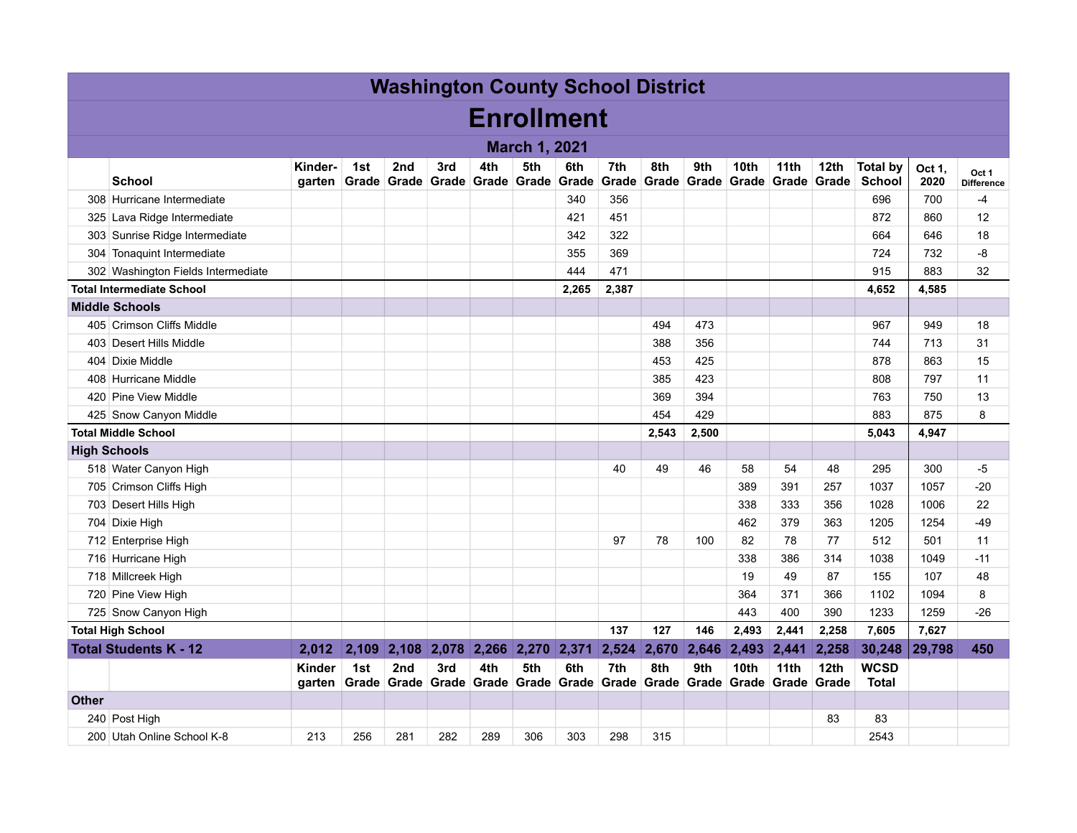| <b>Washington County School District</b> |                                    |                   |     |                 |     |                                            |                      |       |                                                                          |              |              |                  |                     |                           |                                  |                |                            |
|------------------------------------------|------------------------------------|-------------------|-----|-----------------|-----|--------------------------------------------|----------------------|-------|--------------------------------------------------------------------------|--------------|--------------|------------------|---------------------|---------------------------|----------------------------------|----------------|----------------------------|
|                                          | <b>Enrollment</b>                  |                   |     |                 |     |                                            |                      |       |                                                                          |              |              |                  |                     |                           |                                  |                |                            |
|                                          |                                    |                   |     |                 |     |                                            | <b>March 1, 2021</b> |       |                                                                          |              |              |                  |                     |                           |                                  |                |                            |
|                                          | <b>School</b>                      | Kinder-<br>garten | 1st | 2 <sub>nd</sub> | 3rd | 4th<br>Grade Grade Grade Grade Grade Grade | 5th                  | 6th   | 7th<br>Grade                                                             | 8th<br>Grade | 9th<br>Grade | 10th             | 11th<br>Grade Grade | 12th<br>Grade             | <b>Total by</b><br><b>School</b> | Oct 1,<br>2020 | Oct 1<br><b>Difference</b> |
|                                          | 308 Hurricane Intermediate         |                   |     |                 |     |                                            |                      | 340   | 356                                                                      |              |              |                  |                     |                           | 696                              | 700            | $-4$                       |
|                                          | 325 Lava Ridge Intermediate        |                   |     |                 |     |                                            |                      | 421   | 451                                                                      |              |              |                  |                     |                           | 872                              | 860            | 12                         |
|                                          | 303 Sunrise Ridge Intermediate     |                   |     |                 |     |                                            |                      | 342   | 322                                                                      |              |              |                  |                     |                           | 664                              | 646            | 18                         |
|                                          | 304 Tonaquint Intermediate         |                   |     |                 |     |                                            |                      | 355   | 369                                                                      |              |              |                  |                     |                           | 724                              | 732            | -8                         |
|                                          | 302 Washington Fields Intermediate |                   |     |                 |     |                                            |                      | 444   | 471                                                                      |              |              |                  |                     |                           | 915                              | 883            | 32                         |
|                                          | <b>Total Intermediate School</b>   |                   |     |                 |     |                                            |                      | 2,265 | 2,387                                                                    |              |              |                  |                     |                           | 4,652                            | 4,585          |                            |
|                                          | <b>Middle Schools</b>              |                   |     |                 |     |                                            |                      |       |                                                                          |              |              |                  |                     |                           |                                  |                |                            |
|                                          | 405 Crimson Cliffs Middle          |                   |     |                 |     |                                            |                      |       |                                                                          | 494          | 473          |                  |                     |                           | 967                              | 949            | 18                         |
|                                          | 403 Desert Hills Middle            |                   |     |                 |     |                                            |                      |       |                                                                          | 388          | 356          |                  |                     |                           | 744                              | 713            | 31                         |
|                                          | 404 Dixie Middle                   |                   |     |                 |     |                                            |                      |       |                                                                          | 453          | 425          |                  |                     |                           | 878                              | 863            | 15                         |
|                                          | 408 Hurricane Middle               |                   |     |                 |     |                                            |                      |       |                                                                          | 385          | 423          |                  |                     |                           | 808                              | 797            | 11                         |
|                                          | 420 Pine View Middle               |                   |     |                 |     |                                            |                      |       |                                                                          | 369          | 394          |                  |                     |                           | 763                              | 750            | 13                         |
|                                          | 425 Snow Canyon Middle             |                   |     |                 |     |                                            |                      |       |                                                                          | 454          | 429          |                  |                     |                           | 883                              | 875            | 8                          |
| <b>Total Middle School</b>               |                                    |                   |     |                 |     |                                            |                      |       |                                                                          | 2,543        | 2,500        |                  |                     |                           | 5,043                            | 4,947          |                            |
|                                          | <b>High Schools</b>                |                   |     |                 |     |                                            |                      |       |                                                                          |              |              |                  |                     |                           |                                  |                |                            |
|                                          | 518 Water Canyon High              |                   |     |                 |     |                                            |                      |       | 40                                                                       | 49           | 46           | 58               | 54                  | 48                        | 295                              | 300            | -5                         |
|                                          | 705 Crimson Cliffs High            |                   |     |                 |     |                                            |                      |       |                                                                          |              |              | 389              | 391                 | 257                       | 1037                             | 1057           | $-20$                      |
|                                          | 703 Desert Hills High              |                   |     |                 |     |                                            |                      |       |                                                                          |              |              | 338              | 333                 | 356                       | 1028                             | 1006           | 22                         |
|                                          | 704 Dixie High                     |                   |     |                 |     |                                            |                      |       |                                                                          |              |              | 462              | 379                 | 363                       | 1205                             | 1254           | $-49$                      |
|                                          | 712 Enterprise High                |                   |     |                 |     |                                            |                      |       | 97                                                                       | 78           | 100          | 82               | 78                  | 77                        | 512                              | 501            | 11                         |
|                                          | 716 Hurricane High                 |                   |     |                 |     |                                            |                      |       |                                                                          |              |              | 338              | 386                 | 314                       | 1038                             | 1049           | $-11$                      |
|                                          | 718 Millcreek High                 |                   |     |                 |     |                                            |                      |       |                                                                          |              |              | 19               | 49                  | 87                        | 155                              | 107            | 48                         |
|                                          | 720 Pine View High                 |                   |     |                 |     |                                            |                      |       |                                                                          |              |              | 364              | 371                 | 366                       | 1102                             | 1094           | 8                          |
|                                          | 725 Snow Canyon High               |                   |     |                 |     |                                            |                      |       |                                                                          |              |              | 443              | 400                 | 390                       | 1233                             | 1259           | $-26$                      |
|                                          | <b>Total High School</b>           |                   |     |                 |     |                                            |                      |       | 137                                                                      | 127          | 146          | 2,493            | 2,441               | 2,258                     | 7,605                            | 7,627          |                            |
|                                          | <b>Total Students K - 12</b>       | 2.012             |     | $2,109$ 2,108   |     | 2,078 2,266 2,270 2,371                    |                      |       | 2,524                                                                    | 2,670        | 2,646        | 2,493 2,441      |                     | 2,258                     | 30,248                           | 29,798         | 450                        |
|                                          |                                    | Kinder<br>garten  | 1st | 2 <sub>nd</sub> | 3rd | 4th                                        | 5th                  | 6th   | 7th<br>Grade Grade Grade Grade Grade Grade Grade Grade Grade Grade Grade | 8th          | 9th          | 10 <sub>th</sub> | 11th                | 12 <sub>th</sub><br>Grade | <b>WCSD</b><br><b>Total</b>      |                |                            |
| <b>Other</b>                             |                                    |                   |     |                 |     |                                            |                      |       |                                                                          |              |              |                  |                     |                           |                                  |                |                            |
|                                          | 240 Post High                      |                   |     |                 |     |                                            |                      |       |                                                                          |              |              |                  |                     | 83                        | 83                               |                |                            |
|                                          | 200 Utah Online School K-8         | 213               | 256 | 281             | 282 | 289                                        | 306                  | 303   | 298                                                                      | 315          |              |                  |                     |                           | 2543                             |                |                            |